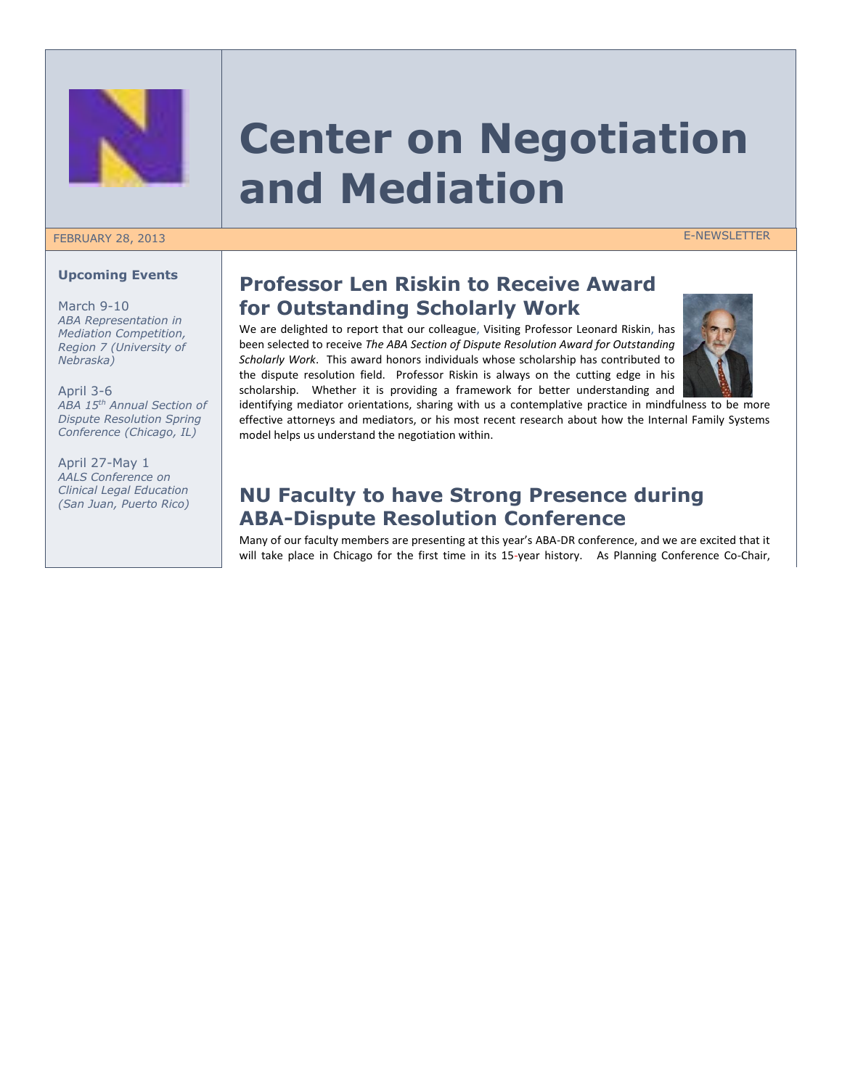

# **Center on Negotiation and Mediation**

### FEBRUARY 28, 2013 E-NEWSLETTER

#### **Upcoming Events**

March 9-10 *ABA Representation in Mediation Competition, Region 7 (University of Nebraska)*

April 3-6 *ABA 15th Annual Section of Dispute Resolution Spring Conference (Chicago, IL)*

April 27-May 1 *AALS Conference on Clinical Legal Education (San Juan, Puerto Rico)*

## **Professor Len Riskin to Receive Award for Outstanding Scholarly Work**

We are delighted to report that our colleague, Visiting Professor Leonard Riskin, has been selected to receive *The ABA Section of Dispute Resolution Award for Outstanding Scholarly Work*. This award honors individuals whose scholarship has contributed to the dispute resolution field. Professor Riskin is always on the cutting edge in his scholarship. Whether it is providing a framework for better understanding and



identifying mediator orientations, sharing with us a contemplative practice in mindfulness to be more effective attorneys and mediators, or his most recent research about how the Internal Family Systems model helps us understand the negotiation within.

## **NU Faculty to have Strong Presence during ABA-Dispute Resolution Conference**

Many of our faculty members are presenting at this year's ABA-DR conference, and we are excited that it will take place in Chicago for the first time in its 15-year history. As Planning Conference Co-Chair,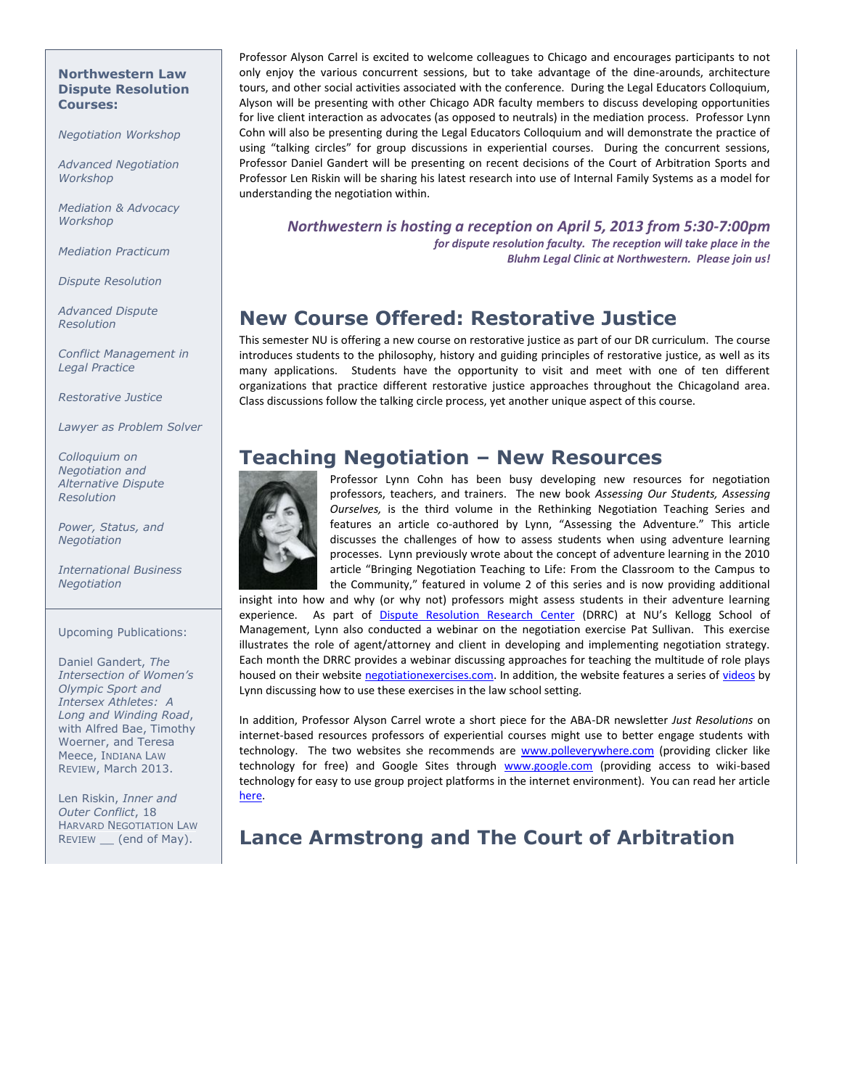#### **Northwestern Law Dispute Resolution Courses:**

*Negotiation Workshop*

*Advanced Negotiation Workshop*

*Mediation & Advocacy Workshop*

*Mediation Practicum*

*Dispute Resolution*

*Advanced Dispute Resolution*

*Conflict Management in Legal Practice*

*Restorative Justice*

*Lawyer as Problem Solver*

*Colloquium on Negotiation and Alternative Dispute Resolution*

*Power, Status, and Negotiation*

*International Business Negotiation*

Upcoming Publications:

Daniel Gandert, *The Intersection of Women's Olympic Sport and Intersex Athletes: A Long and Winding Road*, with Alfred Bae, Timothy Woerner, and Teresa Meece, INDIANA LAW REVIEW, March 2013.

Len Riskin, *Inner and Outer Conflict*, 18 HARVARD NEGOTIATION LAW REVIEW \_\_ (end of May).

Professor Alyson Carrel is excited to welcome colleagues to Chicago and encourages participants to not only enjoy the various concurrent sessions, but to take advantage of the dine-arounds, architecture tours, and other social activities associated with the conference. During the Legal Educators Colloquium, Alyson will be presenting with other Chicago ADR faculty members to discuss developing opportunities for live client interaction as advocates (as opposed to neutrals) in the mediation process. Professor Lynn Cohn will also be presenting during the Legal Educators Colloquium and will demonstrate the practice of using "talking circles" for group discussions in experiential courses. During the concurrent sessions, Professor Daniel Gandert will be presenting on recent decisions of the Court of Arbitration Sports and Professor Len Riskin will be sharing his latest research into use of Internal Family Systems as a model for understanding the negotiation within.

*Northwestern is hosting a reception on April 5, 2013 from 5:30-7:00pm for dispute resolution faculty. The reception will take place in the Bluhm Legal Clinic at Northwestern. Please join us!*

## **New Course Offered: Restorative Justice**

This semester NU is offering a new course on restorative justice as part of our DR curriculum. The course introduces students to the philosophy, history and guiding principles of restorative justice, as well as its many applications. Students have the opportunity to visit and meet with one of ten different organizations that practice different restorative justice approaches throughout the Chicagoland area. Class discussions follow the talking circle process, yet another unique aspect of this course.

## **Teaching Negotiation – New Resources**



Professor Lynn Cohn has been busy developing new resources for negotiation professors, teachers, and trainers. The new book *Assessing Our Students, Assessing Ourselves,* is the third volume in the Rethinking Negotiation Teaching Series and features an article co-authored by Lynn, "Assessing the Adventure." This article discusses the challenges of how to assess students when using adventure learning processes. Lynn previously wrote about the concept of adventure learning in the 2010 article "Bringing Negotiation Teaching to Life: From the Classroom to the Campus to the Community," featured in volume 2 of this series and is now providing additional

insight into how and why (or why not) professors might assess students in their adventure learning experience. As part of [Dispute Resolution Research Center](http://www.kellogg.northwestern.edu/research/drrc.aspx) (DRRC) at NU's Kellogg School of Management, Lynn also conducted a webinar on the negotiation exercise Pat Sullivan. This exercise illustrates the role of agent/attorney and client in developing and implementing negotiation strategy. Each month the DRRC provides a webinar discussing approaches for teaching the multitude of role plays housed on their websit[e negotiationexercises.com.](http://negotiationexercises.com/) In addition, the website features a series o[f videos](http://www.kellogg.northwestern.edu/research/drrc/teaching-materials/materials-for-law-teachers.aspx) by Lynn discussing how to use these exercises in the law school setting.

In addition, Professor Alyson Carrel wrote a short piece for the ABA-DR newsletter *Just Resolutions* on internet-based resources professors of experiential courses might use to better engage students with technology. The two websites she recommends are [www.polleverywhere.com](http://www.polleverywhere.com/) (providing clicker like technology for free) and Google Sites through [www.google.com](http://www.google.com/) (providing access to wiki-based technology for easy to use group project platforms in the internet environment). You can read her article [here.](http://www.americanbar.org/content/dam/aba/publications/dispute_resolution_magazine/Technology_in_the_classroom_amc_final.authcheckdam.pdf)

## **Lance Armstrong and The Court of Arbitration**